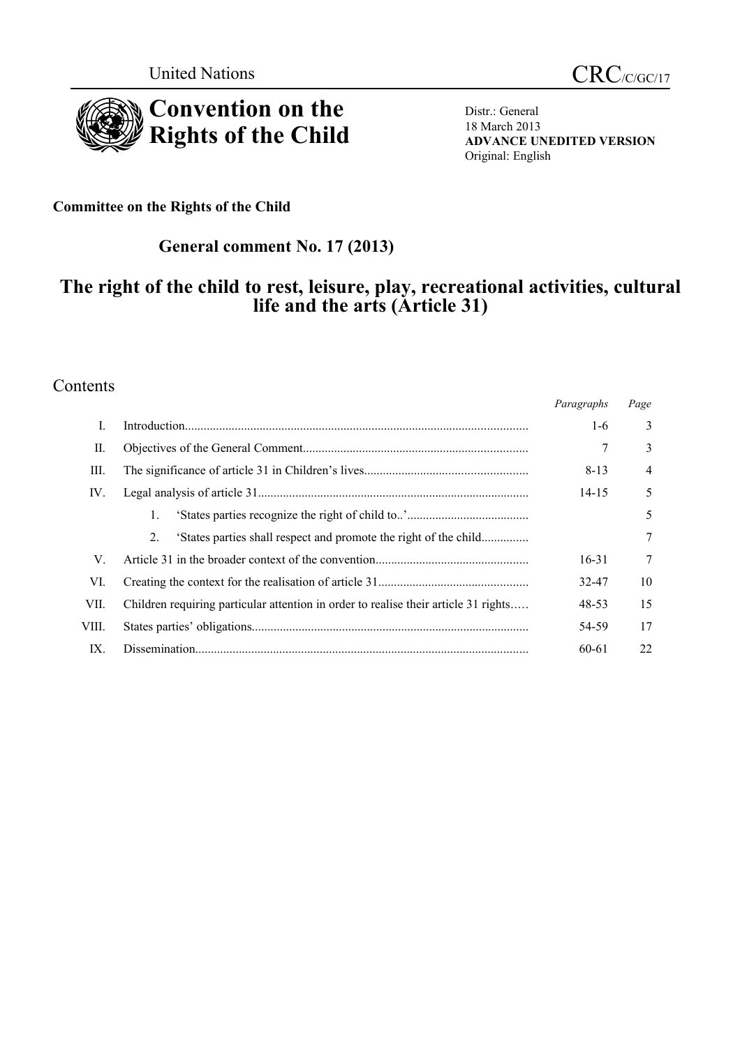

Distr.: General 18 March 2013 **ADVANCE UNEDITED VERSION** Original: English

**Committee on the Rights of the Child**

# **General comment No. 17 (2013)**

# **The right of the child to rest, leisure, play, recreational activities, cultural life and the arts (Article 31)**

### Contents

|       |                                                                                     | Paragraphs | Page |
|-------|-------------------------------------------------------------------------------------|------------|------|
| I.    |                                                                                     | 1-6        | 3    |
| П.    |                                                                                     |            | 3    |
| III.  |                                                                                     | 8-13       | 4    |
| IV.   |                                                                                     | $14 - 15$  | 5    |
|       | 1.                                                                                  |            | 5    |
|       | 'States parties shall respect and promote the right of the child<br>2.              |            | 7    |
| V.    |                                                                                     | $16 - 31$  | 7    |
| VI.   |                                                                                     | 32-47      | 10   |
| VII.  | Children requiring particular attention in order to realise their article 31 rights | 48-53      | 15   |
| VIII. |                                                                                     | 54-59      | 17   |
| IX.   |                                                                                     | 60-61      | 22   |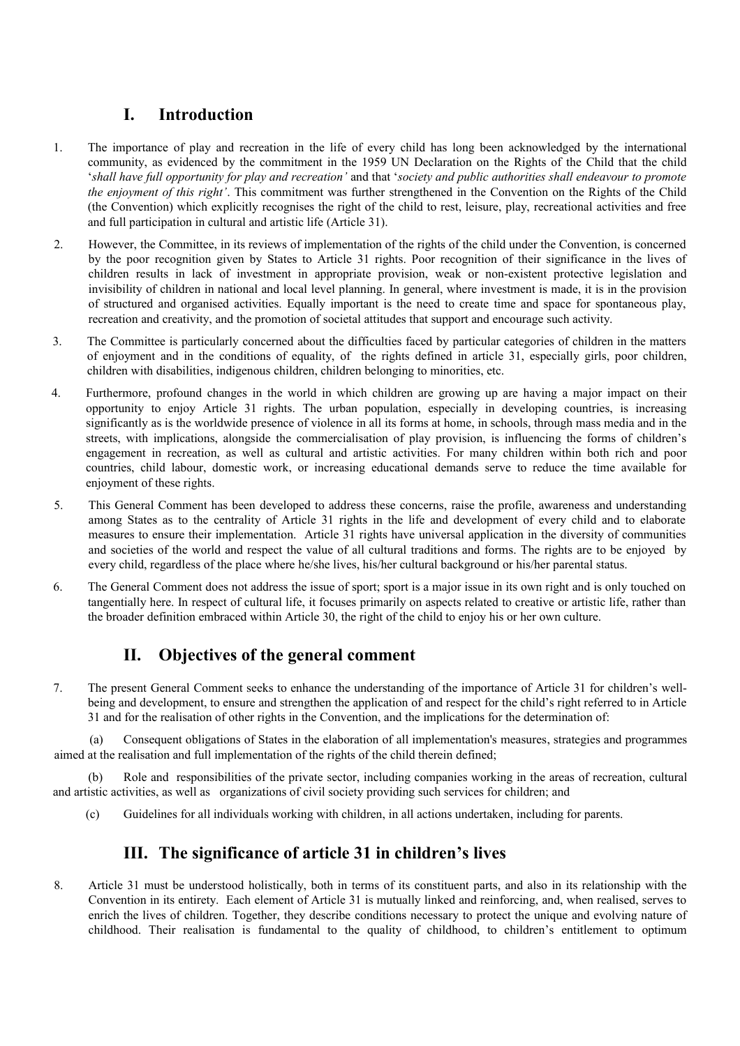## **I. Introduction**

- 1. The importance of play and recreation in the life of every child has long been acknowledged by the international community, as evidenced by the commitment in the 1959 UN Declaration on the Rights of the Child that the child '*shall have full opportunity for play and recreation'* and that '*society and public authorities shall endeavour to promote the enjoyment of this right'*. This commitment was further strengthened in the Convention on the Rights of the Child (the Convention) which explicitly recognises the right of the child to rest, leisure, play, recreational activities and free and full participation in cultural and artistic life (Article 31).
- 2. However, the Committee, in its reviews of implementation of the rights of the child under the Convention, is concerned by the poor recognition given by States to Article 31 rights. Poor recognition of their significance in the lives of children results in lack of investment in appropriate provision, weak or non-existent protective legislation and invisibility of children in national and local level planning. In general, where investment is made, it is in the provision of structured and organised activities. Equally important is the need to create time and space for spontaneous play, recreation and creativity, and the promotion of societal attitudes that support and encourage such activity.
- 3. The Committee is particularly concerned about the difficulties faced by particular categories of children in the matters of enjoyment and in the conditions of equality, of the rights defined in article 31, especially girls, poor children, children with disabilities, indigenous children, children belonging to minorities, etc.
- 4. Furthermore, profound changes in the world in which children are growing up are having a major impact on their opportunity to enjoy Article 31 rights. The urban population, especially in developing countries, is increasing significantly as is the worldwide presence of violence in all its forms at home, in schools, through mass media and in the streets, with implications, alongside the commercialisation of play provision, is influencing the forms of children's engagement in recreation, as well as cultural and artistic activities. For many children within both rich and poor countries, child labour, domestic work, or increasing educational demands serve to reduce the time available for enjoyment of these rights.
- 5. This General Comment has been developed to address these concerns, raise the profile, awareness and understanding among States as to the centrality of Article 31 rights in the life and development of every child and to elaborate measures to ensure their implementation. Article 31 rights have universal application in the diversity of communities and societies of the world and respect the value of all cultural traditions and forms. The rights are to be enjoyed by every child, regardless of the place where he/she lives, his/her cultural background or his/her parental status.
- 6. The General Comment does not address the issue of sport; sport is a major issue in its own right and is only touched on tangentially here. In respect of cultural life, it focuses primarily on aspects related to creative or artistic life, rather than the broader definition embraced within Article 30, the right of the child to enjoy his or her own culture.

## **II. Objectives of the general comment**

7. The present General Comment seeks to enhance the understanding of the importance of Article 31 for children's wellbeing and development, to ensure and strengthen the application of and respect for the child's right referred to in Article 31 and for the realisation of other rights in the Convention, and the implications for the determination of:

(a) Consequent obligations of States in the elaboration of all implementation's measures, strategies and programmes aimed at the realisation and full implementation of the rights of the child therein defined;

Role and responsibilities of the private sector, including companies working in the areas of recreation, cultural and artistic activities, as well as organizations of civil society providing such services for children; and

(c) Guidelines for all individuals working with children, in all actions undertaken, including for parents.

### **III. The significance of article 31 in children's lives**

8. Article 31 must be understood holistically, both in terms of its constituent parts, and also in its relationship with the Convention in its entirety. Each element of Article 31 is mutually linked and reinforcing, and, when realised, serves to enrich the lives of children. Together, they describe conditions necessary to protect the unique and evolving nature of childhood. Their realisation is fundamental to the quality of childhood, to children's entitlement to optimum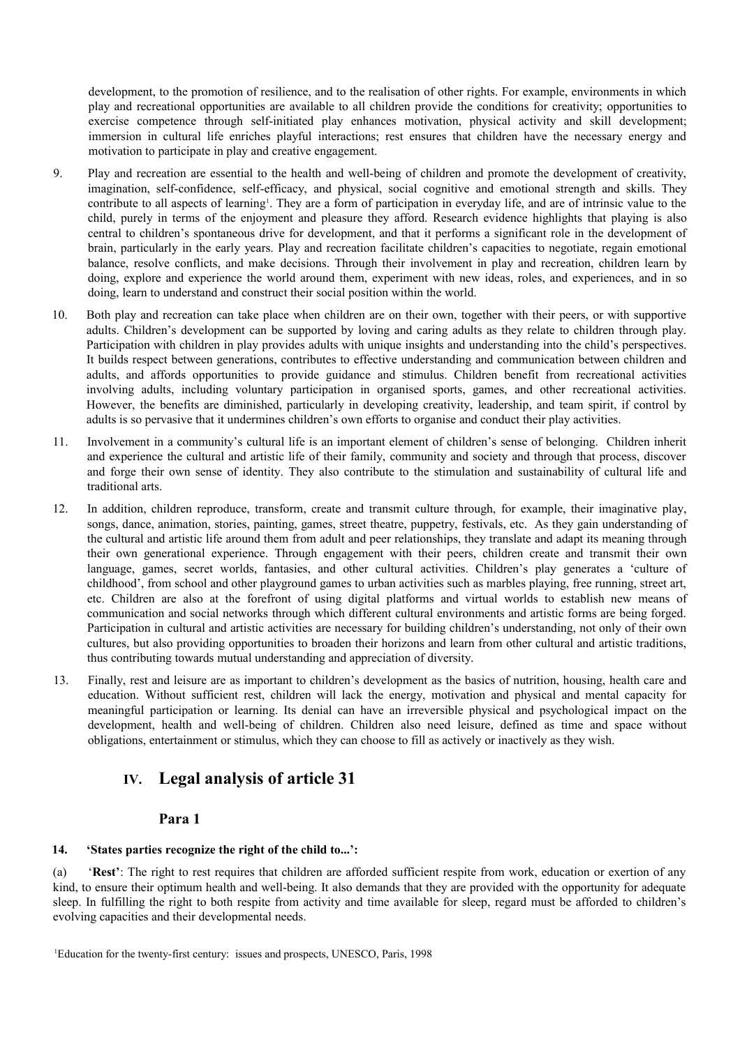development, to the promotion of resilience, and to the realisation of other rights. For example, environments in which play and recreational opportunities are available to all children provide the conditions for creativity; opportunities to exercise competence through self-initiated play enhances motivation, physical activity and skill development; immersion in cultural life enriches playful interactions; rest ensures that children have the necessary energy and motivation to participate in play and creative engagement.

- 9. Play and recreation are essential to the health and well-being of children and promote the development of creativity, imagination, self-confidence, self-efficacy, and physical, social cognitive and emotional strength and skills. They contribute to all aspects of learning<sup>[1](#page-2-0)</sup>. They are a form of participation in everyday life, and are of intrinsic value to the child, purely in terms of the enjoyment and pleasure they afford. Research evidence highlights that playing is also central to children's spontaneous drive for development, and that it performs a significant role in the development of brain, particularly in the early years. Play and recreation facilitate children's capacities to negotiate, regain emotional balance, resolve conflicts, and make decisions. Through their involvement in play and recreation, children learn by doing, explore and experience the world around them, experiment with new ideas, roles, and experiences, and in so doing, learn to understand and construct their social position within the world.
- 10. Both play and recreation can take place when children are on their own, together with their peers, or with supportive adults. Children's development can be supported by loving and caring adults as they relate to children through play. Participation with children in play provides adults with unique insights and understanding into the child's perspectives. It builds respect between generations, contributes to effective understanding and communication between children and adults, and affords opportunities to provide guidance and stimulus. Children benefit from recreational activities involving adults, including voluntary participation in organised sports, games, and other recreational activities. However, the benefits are diminished, particularly in developing creativity, leadership, and team spirit, if control by adults is so pervasive that it undermines children's own efforts to organise and conduct their play activities.
- 11. Involvement in a community's cultural life is an important element of children's sense of belonging. Children inherit and experience the cultural and artistic life of their family, community and society and through that process, discover and forge their own sense of identity. They also contribute to the stimulation and sustainability of cultural life and traditional arts.
- 12. In addition, children reproduce, transform, create and transmit culture through, for example, their imaginative play, songs, dance, animation, stories, painting, games, street theatre, puppetry, festivals, etc. As they gain understanding of the cultural and artistic life around them from adult and peer relationships, they translate and adapt its meaning through their own generational experience. Through engagement with their peers, children create and transmit their own language, games, secret worlds, fantasies, and other cultural activities. Children's play generates a 'culture of childhood', from school and other playground games to urban activities such as marbles playing, free running, street art, etc. Children are also at the forefront of using digital platforms and virtual worlds to establish new means of communication and social networks through which different cultural environments and artistic forms are being forged. Participation in cultural and artistic activities are necessary for building children's understanding, not only of their own cultures, but also providing opportunities to broaden their horizons and learn from other cultural and artistic traditions, thus contributing towards mutual understanding and appreciation of diversity.
- 13. Finally, rest and leisure are as important to children's development as the basics of nutrition, housing, health care and education. Without sufficient rest, children will lack the energy, motivation and physical and mental capacity for meaningful participation or learning. Its denial can have an irreversible physical and psychological impact on the development, health and well-being of children. Children also need leisure, defined as time and space without obligations, entertainment or stimulus, which they can choose to fill as actively or inactively as they wish.

## **IV. Legal analysis of article 31**

#### **Para 1**

#### **14. 'States parties recognize the right of the child to...':**

(a) '**Rest'**: The right to rest requires that children are afforded sufficient respite from work, education or exertion of any kind, to ensure their optimum health and well-being. It also demands that they are provided with the opportunity for adequate sleep. In fulfilling the right to both respite from activity and time available for sleep, regard must be afforded to children's evolving capacities and their developmental needs.

<span id="page-2-0"></span><sup>&</sup>lt;sup>1</sup>Education for the twenty-first century: issues and prospects, UNESCO, Paris, 1998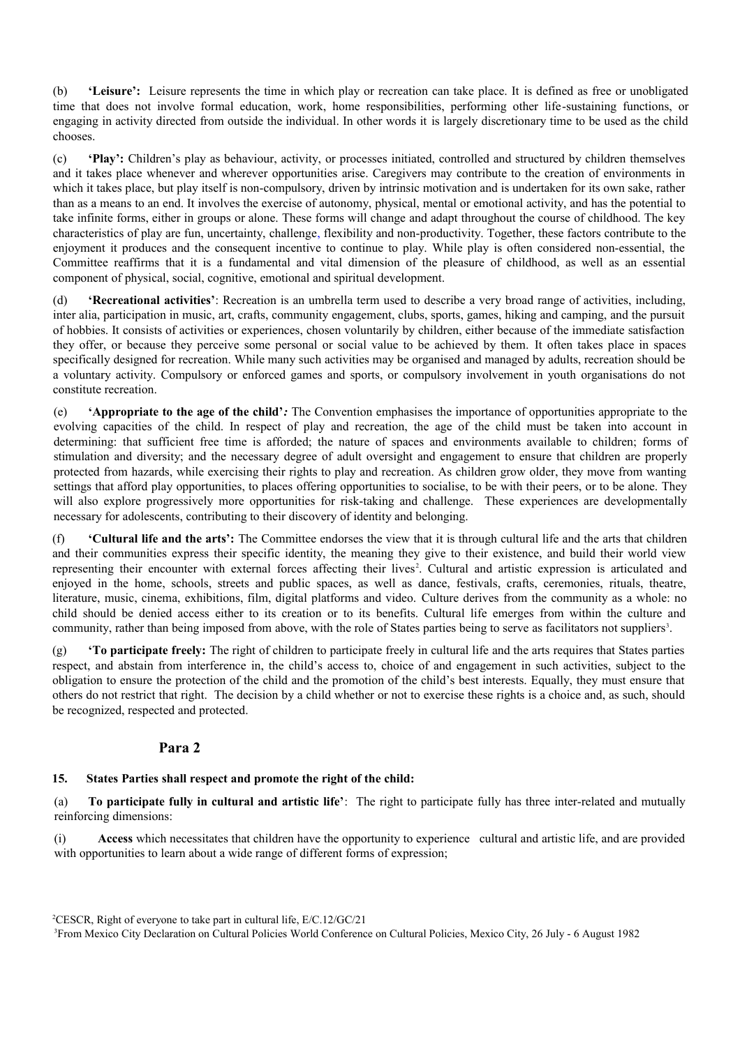(b) **'Leisure':** Leisure represents the time in which play or recreation can take place. It is defined as free or unobligated time that does not involve formal education, work, home responsibilities, performing other life-sustaining functions, or engaging in activity directed from outside the individual. In other words it is largely discretionary time to be used as the child chooses.

(c) **'Play':** Children's play as behaviour, activity, or processes initiated, controlled and structured by children themselves and it takes place whenever and wherever opportunities arise. Caregivers may contribute to the creation of environments in which it takes place, but play itself is non-compulsory, driven by intrinsic motivation and is undertaken for its own sake, rather than as a means to an end. It involves the exercise of autonomy, physical, mental or emotional activity, and has the potential to take infinite forms, either in groups or alone. These forms will change and adapt throughout the course of childhood. The key characteristics of play are fun, uncertainty, challenge, flexibility and non-productivity. Together, these factors contribute to the enjoyment it produces and the consequent incentive to continue to play. While play is often considered non-essential, the Committee reaffirms that it is a fundamental and vital dimension of the pleasure of childhood, as well as an essential component of physical, social, cognitive, emotional and spiritual development.

(d) **'Recreational activities'**: Recreation is an umbrella term used to describe a very broad range of activities, including, inter alia, participation in music, art, crafts, community engagement, clubs, sports, games, hiking and camping, and the pursuit of hobbies. It consists of activities or experiences, chosen voluntarily by children, either because of the immediate satisfaction they offer, or because they perceive some personal or social value to be achieved by them. It often takes place in spaces specifically designed for recreation. While many such activities may be organised and managed by adults, recreation should be a voluntary activity. Compulsory or enforced games and sports, or compulsory involvement in youth organisations do not constitute recreation.

(e) **'Appropriate to the age of the child'***:* The Convention emphasises the importance of opportunities appropriate to the evolving capacities of the child. In respect of play and recreation, the age of the child must be taken into account in determining: that sufficient free time is afforded; the nature of spaces and environments available to children; forms of stimulation and diversity; and the necessary degree of adult oversight and engagement to ensure that children are properly protected from hazards, while exercising their rights to play and recreation. As children grow older, they move from wanting settings that afford play opportunities, to places offering opportunities to socialise, to be with their peers, or to be alone. They will also explore progressively more opportunities for risk-taking and challenge. These experiences are developmentally necessary for adolescents, contributing to their discovery of identity and belonging.

(f) **'Cultural life and the arts':** The Committee endorses the view that it is through cultural life and the arts that children and their communities express their specific identity, the meaning they give to their existence, and build their world view representing their encounter with external forces affecting their lives<sup>[2](#page-3-0)</sup>. Cultural and artistic expression is articulated and enjoyed in the home, schools, streets and public spaces, as well as dance, festivals, crafts, ceremonies, rituals, theatre, literature, music, cinema, exhibitions, film, digital platforms and video. Culture derives from the community as a whole: no child should be denied access either to its creation or to its benefits. Cultural life emerges from within the culture and community, rather than being imposed from above, with the role of States parties being to serve as facilitators not suppliers<sup>[3](#page-3-1)</sup>.

(g) **'To participate freely:** The right of children to participate freely in cultural life and the arts requires that States parties respect, and abstain from interference in, the child's access to, choice of and engagement in such activities, subject to the obligation to ensure the protection of the child and the promotion of the child's best interests. Equally, they must ensure that others do not restrict that right. The decision by a child whether or not to exercise these rights is a choice and, as such, should be recognized, respected and protected.

#### **Para 2**

#### **15. States Parties shall respect and promote the right of the child:**

(a) **To participate fully in cultural and artistic life'**: The right to participate fully has three inter-related and mutually reinforcing dimensions:

(i) **Access** which necessitates that children have the opportunity to experience cultural and artistic life, and are provided with opportunities to learn about a wide range of different forms of expression;

<span id="page-3-0"></span><sup>2</sup>CESCR, Right of everyone to take part in cultural life, E/C.12/GC/21

<span id="page-3-1"></span><sup>3</sup>From Mexico City Declaration on Cultural Policies World Conference on Cultural Policies, Mexico City, 26 July - 6 August 1982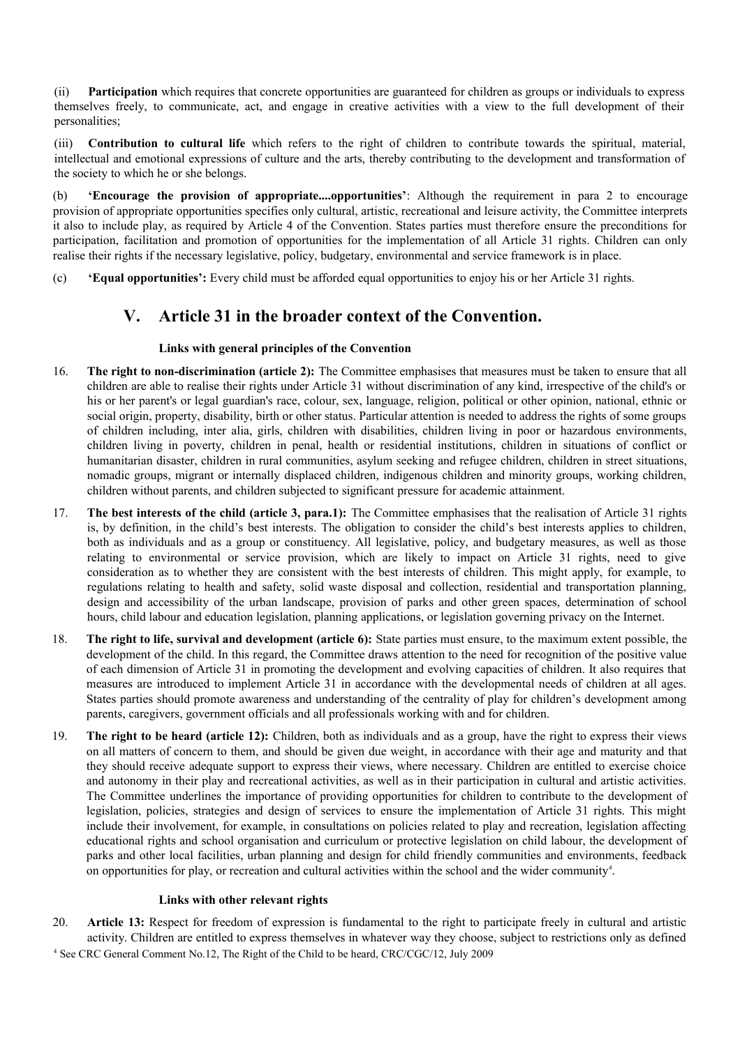(ii) **Participation** which requires that concrete opportunities are guaranteed for children as groups or individuals to express themselves freely, to communicate, act, and engage in creative activities with a view to the full development of their personalities;

(iii) **Contribution to cultural life** which refers to the right of children to contribute towards the spiritual, material, intellectual and emotional expressions of culture and the arts, thereby contributing to the development and transformation of the society to which he or she belongs.

(b) **'Encourage the provision of appropriate....opportunities'**: Although the requirement in para 2 to encourage provision of appropriate opportunities specifies only cultural, artistic, recreational and leisure activity, the Committee interprets it also to include play, as required by Article 4 of the Convention. States parties must therefore ensure the preconditions for participation, facilitation and promotion of opportunities for the implementation of all Article 31 rights. Children can only realise their rights if the necessary legislative, policy, budgetary, environmental and service framework is in place.

(c) **'Equal opportunities':** Every child must be afforded equal opportunities to enjoy his or her Article 31 rights.

### **V. Article 31 in the broader context of the Convention.**

#### **Links with general principles of the Convention**

- 16. **The right to non-discrimination (article 2):** The Committee emphasises that measures must be taken to ensure that all children are able to realise their rights under Article 31 without discrimination of any kind, irrespective of the child's or his or her parent's or legal guardian's race, colour, sex, language, religion, political or other opinion, national, ethnic or social origin, property, disability, birth or other status. Particular attention is needed to address the rights of some groups of children including, inter alia, girls, children with disabilities, children living in poor or hazardous environments, children living in poverty, children in penal, health or residential institutions, children in situations of conflict or humanitarian disaster, children in rural communities, asylum seeking and refugee children, children in street situations, nomadic groups, migrant or internally displaced children, indigenous children and minority groups, working children, children without parents, and children subjected to significant pressure for academic attainment.
- 17. **The best interests of the child (article 3, para.1):** The Committee emphasises that the realisation of Article 31 rights is, by definition, in the child's best interests. The obligation to consider the child's best interests applies to children, both as individuals and as a group or constituency. All legislative, policy, and budgetary measures, as well as those relating to environmental or service provision, which are likely to impact on Article 31 rights, need to give consideration as to whether they are consistent with the best interests of children. This might apply, for example, to regulations relating to health and safety, solid waste disposal and collection, residential and transportation planning, design and accessibility of the urban landscape, provision of parks and other green spaces, determination of school hours, child labour and education legislation, planning applications, or legislation governing privacy on the Internet.
- 18. **The right to life, survival and development (article 6):** State parties must ensure, to the maximum extent possible, the development of the child. In this regard, the Committee draws attention to the need for recognition of the positive value of each dimension of Article 31 in promoting the development and evolving capacities of children. It also requires that measures are introduced to implement Article 31 in accordance with the developmental needs of children at all ages. States parties should promote awareness and understanding of the centrality of play for children's development among parents, caregivers, government officials and all professionals working with and for children.
- 19. **The right to be heard (article 12):** Children, both as individuals and as a group, have the right to express their views on all matters of concern to them, and should be given due weight, in accordance with their age and maturity and that they should receive adequate support to express their views, where necessary. Children are entitled to exercise choice and autonomy in their play and recreational activities, as well as in their participation in cultural and artistic activities. The Committee underlines the importance of providing opportunities for children to contribute to the development of legislation, policies, strategies and design of services to ensure the implementation of Article 31 rights. This might include their involvement, for example, in consultations on policies related to play and recreation, legislation affecting educational rights and school organisation and curriculum or protective legislation on child labour, the development of parks and other local facilities, urban planning and design for child friendly communities and environments, feedback on opportunities for play, or recreation and cultural activities within the school and the wider community<sup>[4](#page-4-0)</sup>.

#### **Links with other relevant rights**

<span id="page-4-0"></span>20. **Article 13:** Respect for freedom of expression is fundamental to the right to participate freely in cultural and artistic activity. Children are entitled to express themselves in whatever way they choose, subject to restrictions only as defined <sup>4</sup> See CRC General Comment No.12, The Right of the Child to be heard, CRC/CGC/12, July 2009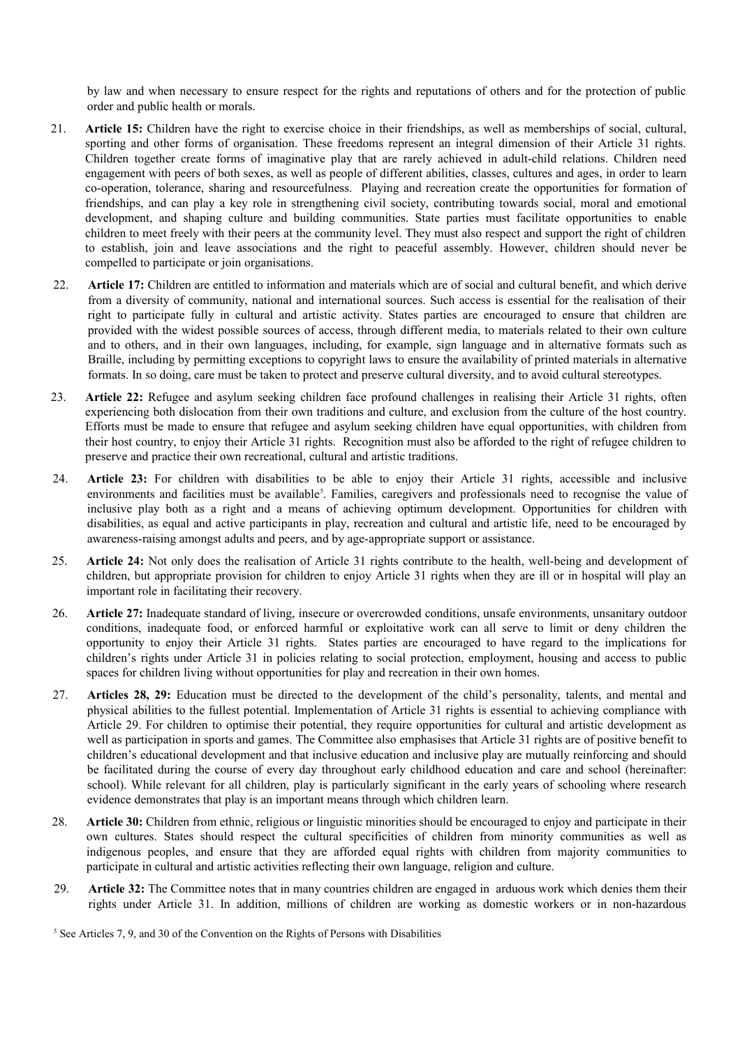by law and when necessary to ensure respect for the rights and reputations of others and for the protection of public order and public health or morals.

- 21. **Article 15:** Children have the right to exercise choice in their friendships, as well as memberships of social, cultural, sporting and other forms of organisation. These freedoms represent an integral dimension of their Article 31 rights. Children together create forms of imaginative play that are rarely achieved in adult-child relations. Children need engagement with peers of both sexes, as well as people of different abilities, classes, cultures and ages, in order to learn co-operation, tolerance, sharing and resourcefulness. Playing and recreation create the opportunities for formation of friendships, and can play a key role in strengthening civil society, contributing towards social, moral and emotional development, and shaping culture and building communities. State parties must facilitate opportunities to enable children to meet freely with their peers at the community level. They must also respect and support the right of children to establish, join and leave associations and the right to peaceful assembly. However, children should never be compelled to participate or join organisations.
- 22. **Article 17:** Children are entitled to information and materials which are of social and cultural benefit, and which derive from a diversity of community, national and international sources. Such access is essential for the realisation of their right to participate fully in cultural and artistic activity. States parties are encouraged to ensure that children are provided with the widest possible sources of access, through different media, to materials related to their own culture and to others, and in their own languages, including, for example, sign language and in alternative formats such as Braille, including by permitting exceptions to copyright laws to ensure the availability of printed materials in alternative formats. In so doing, care must be taken to protect and preserve cultural diversity, and to avoid cultural stereotypes.
- 23. **Article 22:** Refugee and asylum seeking children face profound challenges in realising their Article 31 rights, often experiencing both dislocation from their own traditions and culture, and exclusion from the culture of the host country. Efforts must be made to ensure that refugee and asylum seeking children have equal opportunities, with children from their host country, to enjoy their Article 31 rights. Recognition must also be afforded to the right of refugee children to preserve and practice their own recreational, cultural and artistic traditions.
- 24. **Article 23:** For children with disabilities to be able to enjoy their Article 31 rights, accessible and inclusive environments and facilities must be available<sup>[5](#page-5-0)</sup>. Families, caregivers and professionals need to recognise the value of inclusive play both as a right and a means of achieving optimum development. Opportunities for children with disabilities, as equal and active participants in play, recreation and cultural and artistic life, need to be encouraged by awareness-raising amongst adults and peers, and by age-appropriate support or assistance.
- 25. **Article 24:** Not only does the realisation of Article 31 rights contribute to the health, well-being and development of children, but appropriate provision for children to enjoy Article 31 rights when they are ill or in hospital will play an important role in facilitating their recovery.
- 26. **Article 27:** Inadequate standard of living, insecure or overcrowded conditions, unsafe environments, unsanitary outdoor conditions, inadequate food, or enforced harmful or exploitative work can all serve to limit or deny children the opportunity to enjoy their Article 31 rights. States parties are encouraged to have regard to the implications for children's rights under Article 31 in policies relating to social protection, employment, housing and access to public spaces for children living without opportunities for play and recreation in their own homes.
- 27. **Articles 28, 29:** Education must be directed to the development of the child's personality, talents, and mental and physical abilities to the fullest potential. Implementation of Article 31 rights is essential to achieving compliance with Article 29. For children to optimise their potential, they require opportunities for cultural and artistic development as well as participation in sports and games. The Committee also emphasises that Article 31 rights are of positive benefit to children's educational development and that inclusive education and inclusive play are mutually reinforcing and should be facilitated during the course of every day throughout early childhood education and care and school (hereinafter: school). While relevant for all children, play is particularly significant in the early years of schooling where research evidence demonstrates that play is an important means through which children learn.
- 28. **Article 30:** Children from ethnic, religious or linguistic minorities should be encouraged to enjoy and participate in their own cultures. States should respect the cultural specificities of children from minority communities as well as indigenous peoples, and ensure that they are afforded equal rights with children from majority communities to participate in cultural and artistic activities reflecting their own language, religion and culture.
- 29. **Article 32:** The Committee notes that in many countries children are engaged in arduous work which denies them their rights under Article 31. In addition, millions of children are working as domestic workers or in non-hazardous

<span id="page-5-0"></span><sup>&</sup>lt;sup>5</sup> See Articles 7, 9, and 30 of the Convention on the Rights of Persons with Disabilities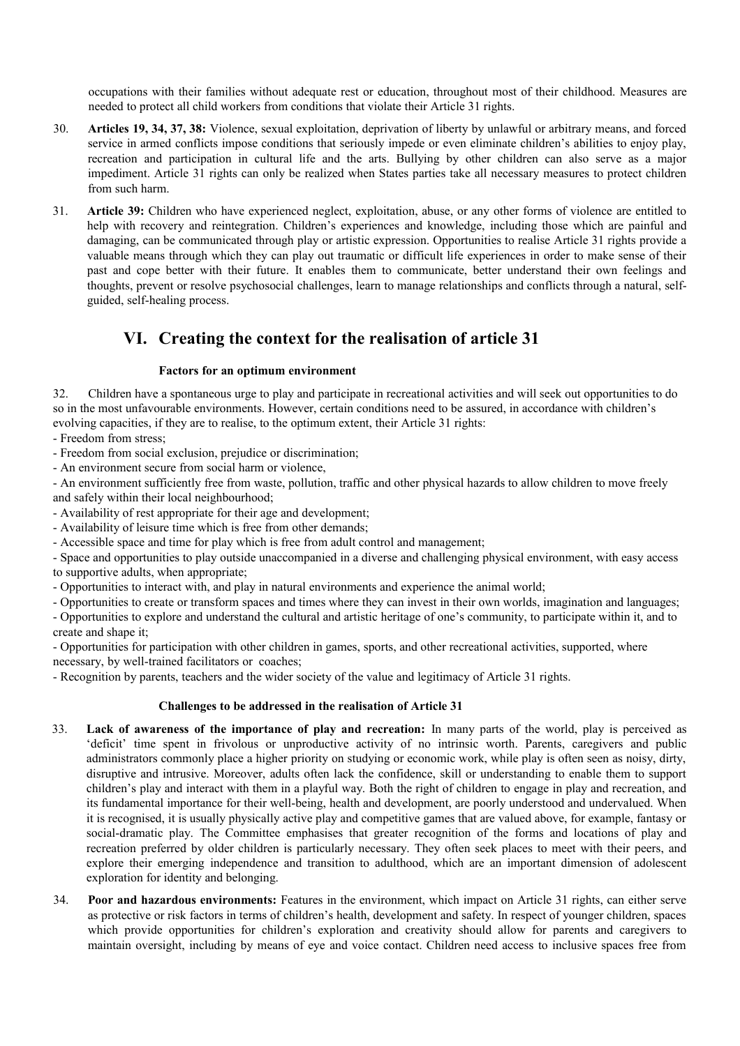occupations with their families without adequate rest or education, throughout most of their childhood. Measures are needed to protect all child workers from conditions that violate their Article 31 rights.

- 30. **Articles 19, 34, 37, 38:** Violence, sexual exploitation, deprivation of liberty by unlawful or arbitrary means, and forced service in armed conflicts impose conditions that seriously impede or even eliminate children's abilities to enjoy play, recreation and participation in cultural life and the arts. Bullying by other children can also serve as a major impediment. Article 31 rights can only be realized when States parties take all necessary measures to protect children from such harm.
- 31. **Article 39:** Children who have experienced neglect, exploitation, abuse, or any other forms of violence are entitled to help with recovery and reintegration. Children's experiences and knowledge, including those which are painful and damaging, can be communicated through play or artistic expression. Opportunities to realise Article 31 rights provide a valuable means through which they can play out traumatic or difficult life experiences in order to make sense of their past and cope better with their future. It enables them to communicate, better understand their own feelings and thoughts, prevent or resolve psychosocial challenges, learn to manage relationships and conflicts through a natural, selfguided, self-healing process.

## **VI. Creating the context for the realisation of article 31**

#### **Factors for an optimum environment**

32. Children have a spontaneous urge to play and participate in recreational activities and will seek out opportunities to do so in the most unfavourable environments. However, certain conditions need to be assured, in accordance with children's evolving capacities, if they are to realise, to the optimum extent, their Article 31 rights:

- Freedom from stress;

- Freedom from social exclusion, prejudice or discrimination;

- An environment secure from social harm or violence,

- An environment sufficiently free from waste, pollution, traffic and other physical hazards to allow children to move freely and safely within their local neighbourhood;

- Availability of rest appropriate for their age and development;

- Availability of leisure time which is free from other demands;

- Accessible space and time for play which is free from adult control and management;

- Space and opportunities to play outside unaccompanied in a diverse and challenging physical environment, with easy access to supportive adults, when appropriate;

- Opportunities to interact with, and play in natural environments and experience the animal world;

- Opportunities to create or transform spaces and times where they can invest in their own worlds, imagination and languages;

- Opportunities to explore and understand the cultural and artistic heritage of one's community, to participate within it, and to create and shape it;

- Opportunities for participation with other children in games, sports, and other recreational activities, supported, where necessary, by well-trained facilitators or coaches;

- Recognition by parents, teachers and the wider society of the value and legitimacy of Article 31 rights.

#### **Challenges to be addressed in the realisation of Article 31**

- 33. **Lack of awareness of the importance of play and recreation:** In many parts of the world, play is perceived as 'deficit' time spent in frivolous or unproductive activity of no intrinsic worth. Parents, caregivers and public administrators commonly place a higher priority on studying or economic work, while play is often seen as noisy, dirty, disruptive and intrusive. Moreover, adults often lack the confidence, skill or understanding to enable them to support children's play and interact with them in a playful way. Both the right of children to engage in play and recreation, and its fundamental importance for their well-being, health and development, are poorly understood and undervalued. When it is recognised, it is usually physically active play and competitive games that are valued above, for example, fantasy or social-dramatic play. The Committee emphasises that greater recognition of the forms and locations of play and recreation preferred by older children is particularly necessary. They often seek places to meet with their peers, and explore their emerging independence and transition to adulthood, which are an important dimension of adolescent exploration for identity and belonging.
- 34. **Poor and hazardous environments:** Features in the environment, which impact on Article 31 rights, can either serve as protective or risk factors in terms of children's health, development and safety. In respect of younger children, spaces which provide opportunities for children's exploration and creativity should allow for parents and caregivers to maintain oversight, including by means of eye and voice contact. Children need access to inclusive spaces free from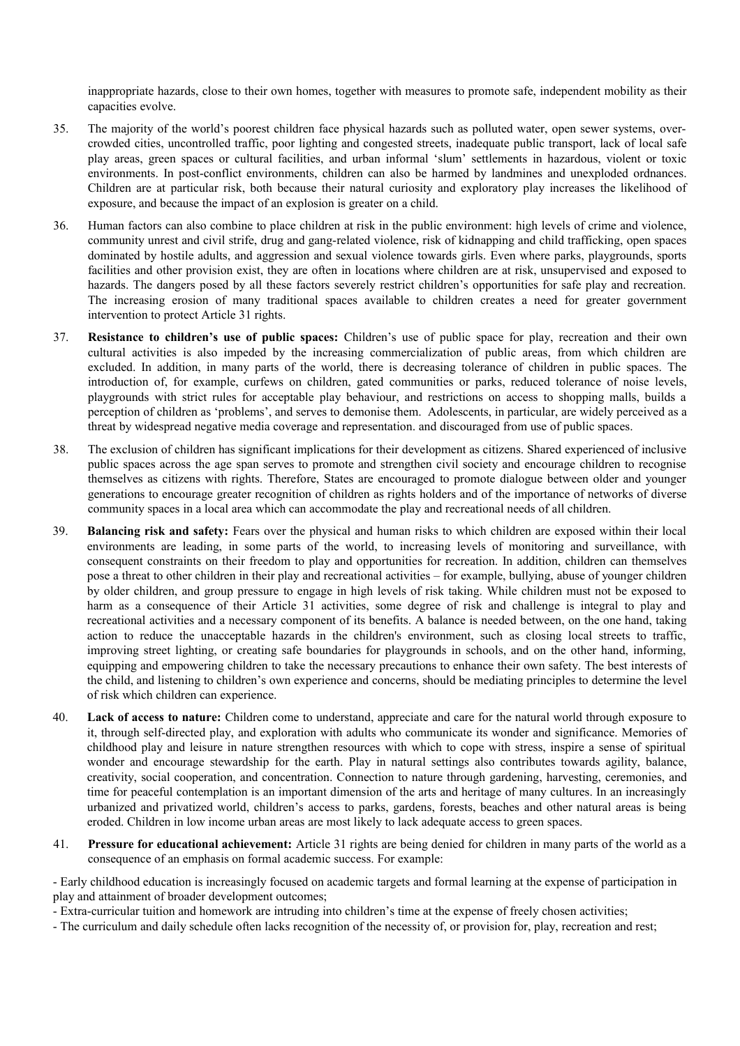inappropriate hazards, close to their own homes, together with measures to promote safe, independent mobility as their capacities evolve.

- 35. The majority of the world's poorest children face physical hazards such as polluted water, open sewer systems, overcrowded cities, uncontrolled traffic, poor lighting and congested streets, inadequate public transport, lack of local safe play areas, green spaces or cultural facilities, and urban informal 'slum' settlements in hazardous, violent or toxic environments. In post-conflict environments, children can also be harmed by landmines and unexploded ordnances. Children are at particular risk, both because their natural curiosity and exploratory play increases the likelihood of exposure, and because the impact of an explosion is greater on a child.
- 36. Human factors can also combine to place children at risk in the public environment: high levels of crime and violence, community unrest and civil strife, drug and gang-related violence, risk of kidnapping and child trafficking, open spaces dominated by hostile adults, and aggression and sexual violence towards girls. Even where parks, playgrounds, sports facilities and other provision exist, they are often in locations where children are at risk, unsupervised and exposed to hazards. The dangers posed by all these factors severely restrict children's opportunities for safe play and recreation. The increasing erosion of many traditional spaces available to children creates a need for greater government intervention to protect Article 31 rights.
- 37. **Resistance to children's use of public spaces:** Children's use of public space for play, recreation and their own cultural activities is also impeded by the increasing commercialization of public areas, from which children are excluded. In addition, in many parts of the world, there is decreasing tolerance of children in public spaces. The introduction of, for example, curfews on children, gated communities or parks, reduced tolerance of noise levels, playgrounds with strict rules for acceptable play behaviour, and restrictions on access to shopping malls, builds a perception of children as 'problems', and serves to demonise them. Adolescents, in particular, are widely perceived as a threat by widespread negative media coverage and representation. and discouraged from use of public spaces.
- 38. The exclusion of children has significant implications for their development as citizens. Shared experienced of inclusive public spaces across the age span serves to promote and strengthen civil society and encourage children to recognise themselves as citizens with rights. Therefore, States are encouraged to promote dialogue between older and younger generations to encourage greater recognition of children as rights holders and of the importance of networks of diverse community spaces in a local area which can accommodate the play and recreational needs of all children.
- 39. **Balancing risk and safety:** Fears over the physical and human risks to which children are exposed within their local environments are leading, in some parts of the world, to increasing levels of monitoring and surveillance, with consequent constraints on their freedom to play and opportunities for recreation. In addition, children can themselves pose a threat to other children in their play and recreational activities – for example, bullying, abuse of younger children by older children, and group pressure to engage in high levels of risk taking. While children must not be exposed to harm as a consequence of their Article 31 activities, some degree of risk and challenge is integral to play and recreational activities and a necessary component of its benefits. A balance is needed between, on the one hand, taking action to reduce the unacceptable hazards in the children's environment, such as closing local streets to traffic, improving street lighting, or creating safe boundaries for playgrounds in schools, and on the other hand, informing, equipping and empowering children to take the necessary precautions to enhance their own safety. The best interests of the child, and listening to children's own experience and concerns, should be mediating principles to determine the level of risk which children can experience.
- 40. **Lack of access to nature:** Children come to understand, appreciate and care for the natural world through exposure to it, through self-directed play, and exploration with adults who communicate its wonder and significance. Memories of childhood play and leisure in nature strengthen resources with which to cope with stress, inspire a sense of spiritual wonder and encourage stewardship for the earth. Play in natural settings also contributes towards agility, balance, creativity, social cooperation, and concentration. Connection to nature through gardening, harvesting, ceremonies, and time for peaceful contemplation is an important dimension of the arts and heritage of many cultures. In an increasingly urbanized and privatized world, children's access to parks, gardens, forests, beaches and other natural areas is being eroded. Children in low income urban areas are most likely to lack adequate access to green spaces.
- 41. **Pressure for educational achievement:** Article 31 rights are being denied for children in many parts of the world as a consequence of an emphasis on formal academic success. For example:

- Early childhood education is increasingly focused on academic targets and formal learning at the expense of participation in play and attainment of broader development outcomes;

- Extra-curricular tuition and homework are intruding into children's time at the expense of freely chosen activities;

- The curriculum and daily schedule often lacks recognition of the necessity of, or provision for, play, recreation and rest;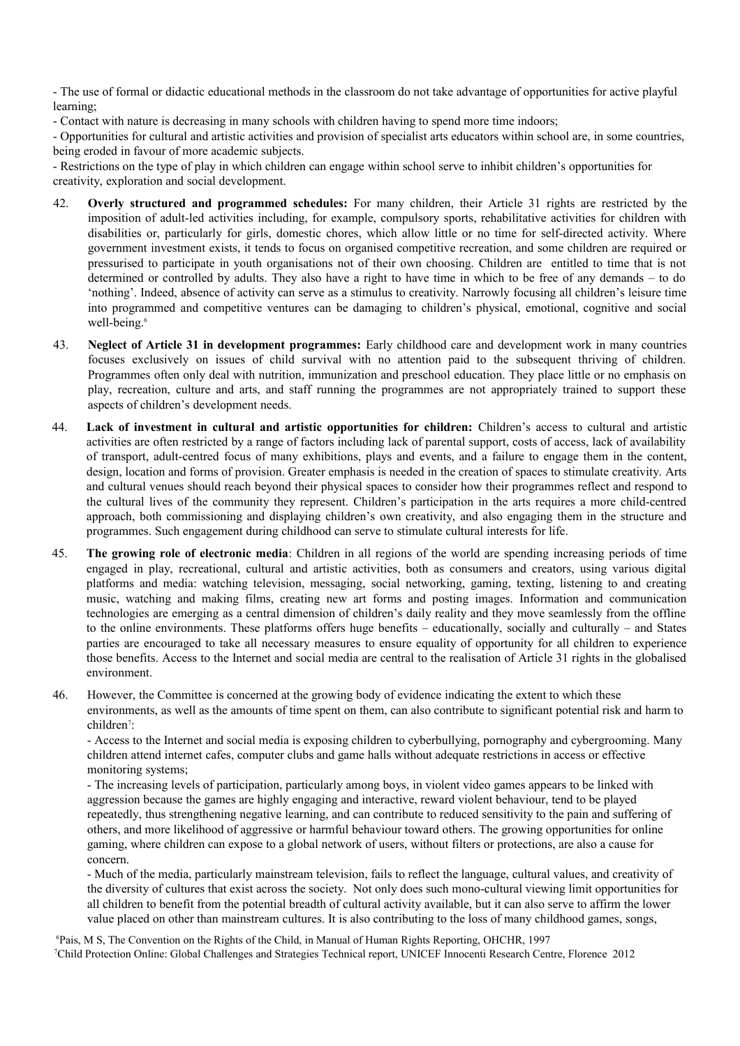- The use of formal or didactic educational methods in the classroom do not take advantage of opportunities for active playful learning;

- Contact with nature is decreasing in many schools with children having to spend more time indoors;

- Opportunities for cultural and artistic activities and provision of specialist arts educators within school are, in some countries, being eroded in favour of more academic subjects.

- Restrictions on the type of play in which children can engage within school serve to inhibit children's opportunities for creativity, exploration and social development.

- 42. **Overly structured and programmed schedules:** For many children, their Article 31 rights are restricted by the imposition of adult-led activities including, for example, compulsory sports, rehabilitative activities for children with disabilities or, particularly for girls, domestic chores, which allow little or no time for self-directed activity. Where government investment exists, it tends to focus on organised competitive recreation, and some children are required or pressurised to participate in youth organisations not of their own choosing. Children are entitled to time that is not determined or controlled by adults. They also have a right to have time in which to be free of any demands – to do 'nothing'. Indeed, absence of activity can serve as a stimulus to creativity. Narrowly focusing all children's leisure time into programmed and competitive ventures can be damaging to children's physical, emotional, cognitive and social well-being.<sup>[6](#page-8-0)</sup>
- 43. **Neglect of Article 31 in development programmes:** Early childhood care and development work in many countries focuses exclusively on issues of child survival with no attention paid to the subsequent thriving of children. Programmes often only deal with nutrition, immunization and preschool education. They place little or no emphasis on play, recreation, culture and arts, and staff running the programmes are not appropriately trained to support these aspects of children's development needs.
- 44. **Lack of investment in cultural and artistic opportunities for children:** Children's access to cultural and artistic activities are often restricted by a range of factors including lack of parental support, costs of access, lack of availability of transport, adult-centred focus of many exhibitions, plays and events, and a failure to engage them in the content, design, location and forms of provision. Greater emphasis is needed in the creation of spaces to stimulate creativity. Arts and cultural venues should reach beyond their physical spaces to consider how their programmes reflect and respond to the cultural lives of the community they represent. Children's participation in the arts requires a more child-centred approach, both commissioning and displaying children's own creativity, and also engaging them in the structure and programmes. Such engagement during childhood can serve to stimulate cultural interests for life.
- 45. **The growing role of electronic media**: Children in all regions of the world are spending increasing periods of time engaged in play, recreational, cultural and artistic activities, both as consumers and creators, using various digital platforms and media: watching television, messaging, social networking, gaming, texting, listening to and creating music, watching and making films, creating new art forms and posting images. Information and communication technologies are emerging as a central dimension of children's daily reality and they move seamlessly from the offline to the online environments. These platforms offers huge benefits – educationally, socially and culturally – and States parties are encouraged to take all necessary measures to ensure equality of opportunity for all children to experience those benefits. Access to the Internet and social media are central to the realisation of Article 31 rights in the globalised environment.
- 46. However, the Committee is concerned at the growing body of evidence indicating the extent to which these environments, as well as the amounts of time spent on them, can also contribute to significant potential risk and harm to children<sup>[7](#page-8-1)</sup>:

- Access to the Internet and social media is exposing children to cyberbullying, pornography and cybergrooming. Many children attend internet cafes, computer clubs and game halls without adequate restrictions in access or effective monitoring systems;

- The increasing levels of participation, particularly among boys, in violent video games appears to be linked with aggression because the games are highly engaging and interactive, reward violent behaviour, tend to be played repeatedly, thus strengthening negative learning, and can contribute to reduced sensitivity to the pain and suffering of others, and more likelihood of aggressive or harmful behaviour toward others. The growing opportunities for online gaming, where children can expose to a global network of users, without filters or protections, are also a cause for concern.

- Much of the media, particularly mainstream television, fails to reflect the language, cultural values, and creativity of the diversity of cultures that exist across the society. Not only does such mono-cultural viewing limit opportunities for all children to benefit from the potential breadth of cultural activity available, but it can also serve to affirm the lower value placed on other than mainstream cultures. It is also contributing to the loss of many childhood games, songs,

<span id="page-8-1"></span><span id="page-8-0"></span><sup>6</sup>Pais, M S, The Convention on the Rights of the Child, in Manual of Human Rights Reporting, OHCHR, 1997 7Child Protection Online: Global Challenges and Strategies Technical report, UNICEF Innocenti Research Centre, Florence 2012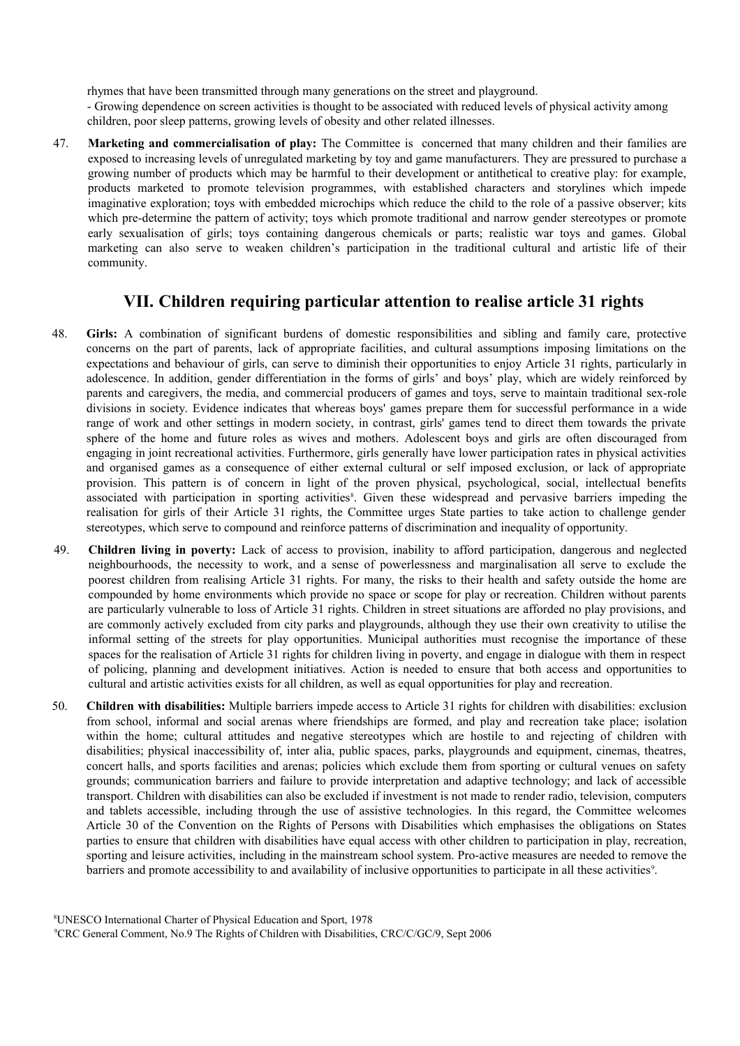rhymes that have been transmitted through many generations on the street and playground. - Growing dependence on screen activities is thought to be associated with reduced levels of physical activity among children, poor sleep patterns, growing levels of obesity and other related illnesses.

47. **Marketing and commercialisation of play:** The Committee is concerned that many children and their families are exposed to increasing levels of unregulated marketing by toy and game manufacturers. They are pressured to purchase a growing number of products which may be harmful to their development or antithetical to creative play: for example, products marketed to promote television programmes, with established characters and storylines which impede imaginative exploration; toys with embedded microchips which reduce the child to the role of a passive observer; kits which pre-determine the pattern of activity; toys which promote traditional and narrow gender stereotypes or promote early sexualisation of girls; toys containing dangerous chemicals or parts; realistic war toys and games. Global marketing can also serve to weaken children's participation in the traditional cultural and artistic life of their community.

## **VII. Children requiring particular attention to realise article 31 rights**

- 48. **Girls:** A combination of significant burdens of domestic responsibilities and sibling and family care, protective concerns on the part of parents, lack of appropriate facilities, and cultural assumptions imposing limitations on the expectations and behaviour of girls, can serve to diminish their opportunities to enjoy Article 31 rights, particularly in adolescence. In addition, gender differentiation in the forms of girls' and boys' play, which are widely reinforced by parents and caregivers, the media, and commercial producers of games and toys, serve to maintain traditional sex-role divisions in society. Evidence indicates that whereas boys' games prepare them for successful performance in a wide range of work and other settings in modern society, in contrast, girls' games tend to direct them towards the private sphere of the home and future roles as wives and mothers. Adolescent boys and girls are often discouraged from engaging in joint recreational activities. Furthermore, girls generally have lower participation rates in physical activities and organised games as a consequence of either external cultural or self imposed exclusion, or lack of appropriate provision. This pattern is of concern in light of the proven physical, psychological, social, intellectual benefits associated with participation in sporting activities<sup>[8](#page-9-0)</sup>. Given these widespread and pervasive barriers impeding the realisation for girls of their Article 31 rights, the Committee urges State parties to take action to challenge gender stereotypes, which serve to compound and reinforce patterns of discrimination and inequality of opportunity.
- 49. **Children living in poverty:** Lack of access to provision, inability to afford participation, dangerous and neglected neighbourhoods, the necessity to work, and a sense of powerlessness and marginalisation all serve to exclude the poorest children from realising Article 31 rights. For many, the risks to their health and safety outside the home are compounded by home environments which provide no space or scope for play or recreation. Children without parents are particularly vulnerable to loss of Article 31 rights. Children in street situations are afforded no play provisions, and are commonly actively excluded from city parks and playgrounds, although they use their own creativity to utilise the informal setting of the streets for play opportunities. Municipal authorities must recognise the importance of these spaces for the realisation of Article 31 rights for children living in poverty, and engage in dialogue with them in respect of policing, planning and development initiatives. Action is needed to ensure that both access and opportunities to cultural and artistic activities exists for all children, as well as equal opportunities for play and recreation.
- <span id="page-9-1"></span><span id="page-9-0"></span>50. **Children with disabilities:** Multiple barriers impede access to Article 31 rights for children with disabilities: exclusion from school, informal and social arenas where friendships are formed, and play and recreation take place; isolation within the home; cultural attitudes and negative stereotypes which are hostile to and rejecting of children with disabilities; physical inaccessibility of, inter alia, public spaces, parks, playgrounds and equipment, cinemas, theatres, concert halls, and sports facilities and arenas; policies which exclude them from sporting or cultural venues on safety grounds; communication barriers and failure to provide interpretation and adaptive technology; and lack of accessible transport. Children with disabilities can also be excluded if investment is not made to render radio, television, computers and tablets accessible, including through the use of assistive technologies. In this regard, the Committee welcomes Article 30 of the Convention on the Rights of Persons with Disabilities which emphasises the obligations on States parties to ensure that children with disabilities have equal access with other children to participation in play, recreation, sporting and leisure activities, including in the mainstream school system. Pro-active measures are needed to remove the barriers and promote accessibility to and availability of inclusive opportunities to participate in all these activities<sup>[9](#page-9-1)</sup>.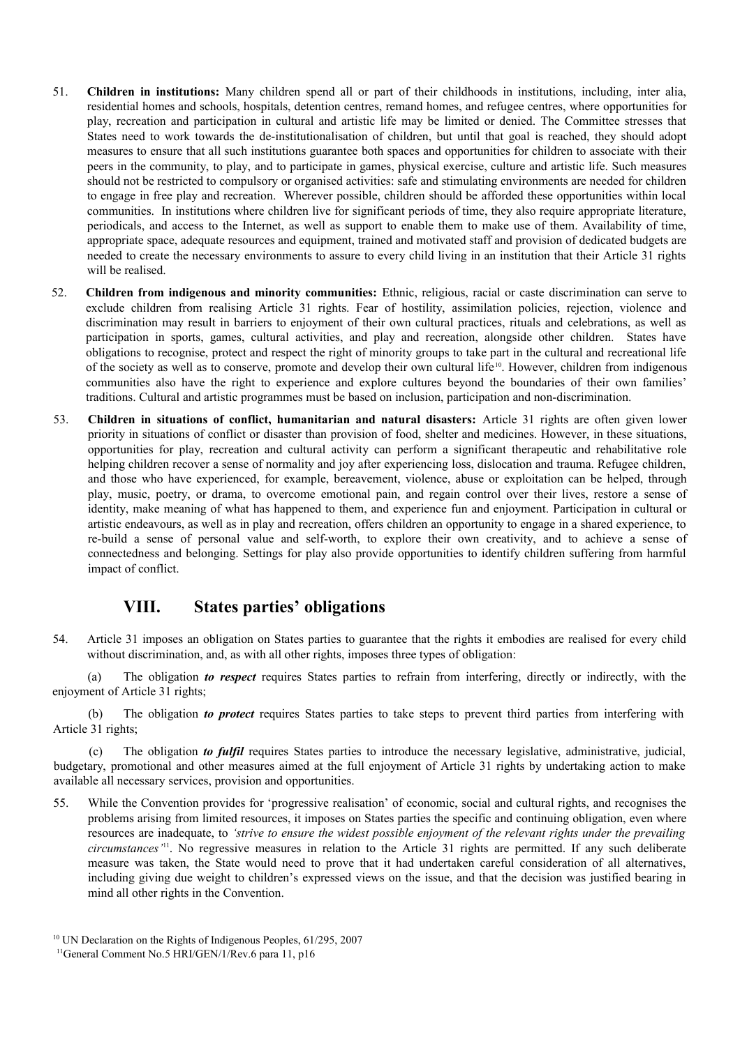- 51. **Children in institutions:** Many children spend all or part of their childhoods in institutions, including, inter alia, residential homes and schools, hospitals, detention centres, remand homes, and refugee centres, where opportunities for play, recreation and participation in cultural and artistic life may be limited or denied. The Committee stresses that States need to work towards the de-institutionalisation of children, but until that goal is reached, they should adopt measures to ensure that all such institutions guarantee both spaces and opportunities for children to associate with their peers in the community, to play, and to participate in games, physical exercise, culture and artistic life. Such measures should not be restricted to compulsory or organised activities: safe and stimulating environments are needed for children to engage in free play and recreation. Wherever possible, children should be afforded these opportunities within local communities. In institutions where children live for significant periods of time, they also require appropriate literature, periodicals, and access to the Internet, as well as support to enable them to make use of them. Availability of time, appropriate space, adequate resources and equipment, trained and motivated staff and provision of dedicated budgets are needed to create the necessary environments to assure to every child living in an institution that their Article 31 rights will be realised.
- 52. **Children from indigenous and minority communities:** Ethnic, religious, racial or caste discrimination can serve to exclude children from realising Article 31 rights. Fear of hostility, assimilation policies, rejection, violence and discrimination may result in barriers to enjoyment of their own cultural practices, rituals and celebrations, as well as participation in sports, games, cultural activities, and play and recreation, alongside other children. States have obligations to recognise, protect and respect the right of minority groups to take part in the cultural and recreational life of the society as well as to conserve, promote and develop their own cultural life<sup>[10](#page-10-0)</sup>. However, children from indigenous communities also have the right to experience and explore cultures beyond the boundaries of their own families' traditions. Cultural and artistic programmes must be based on inclusion, participation and non-discrimination.
- 53. **Children in situations of conflict, humanitarian and natural disasters:** Article 31 rights are often given lower priority in situations of conflict or disaster than provision of food, shelter and medicines. However, in these situations, opportunities for play, recreation and cultural activity can perform a significant therapeutic and rehabilitative role helping children recover a sense of normality and joy after experiencing loss, dislocation and trauma. Refugee children, and those who have experienced, for example, bereavement, violence, abuse or exploitation can be helped, through play, music, poetry, or drama, to overcome emotional pain, and regain control over their lives, restore a sense of identity, make meaning of what has happened to them, and experience fun and enjoyment. Participation in cultural or artistic endeavours, as well as in play and recreation, offers children an opportunity to engage in a shared experience, to re-build a sense of personal value and self-worth, to explore their own creativity, and to achieve a sense of connectedness and belonging. Settings for play also provide opportunities to identify children suffering from harmful impact of conflict.

### **VIII. States parties' obligations**

54. Article 31 imposes an obligation on States parties to guarantee that the rights it embodies are realised for every child without discrimination, and, as with all other rights, imposes three types of obligation:

(a) The obligation *to respect* requires States parties to refrain from interfering, directly or indirectly, with the enjoyment of Article 31 rights;

(b) The obligation *to protect* requires States parties to take steps to prevent third parties from interfering with Article 31 rights;

(c) The obligation *to fulfil* requires States parties to introduce the necessary legislative, administrative, judicial, budgetary, promotional and other measures aimed at the full enjoyment of Article 31 rights by undertaking action to make available all necessary services, provision and opportunities.

55. While the Convention provides for 'progressive realisation' of economic, social and cultural rights, and recognises the problems arising from limited resources, it imposes on States parties the specific and continuing obligation, even where resources are inadequate, to *'strive to ensure the widest possible enjoyment of the relevant rights under the prevailing circumstances'*[11](#page-10-1). No regressive measures in relation to the Article 31 rights are permitted. If any such deliberate measure was taken, the State would need to prove that it had undertaken careful consideration of all alternatives, including giving due weight to children's expressed views on the issue, and that the decision was justified bearing in mind all other rights in the Convention.

<span id="page-10-1"></span><span id="page-10-0"></span><sup>&</sup>lt;sup>10</sup> UN Declaration on the Rights of Indigenous Peoples, 61/295, 2007 <sup>11</sup>General Comment No.5 HRI/GEN/1/Rev.6 para 11, p16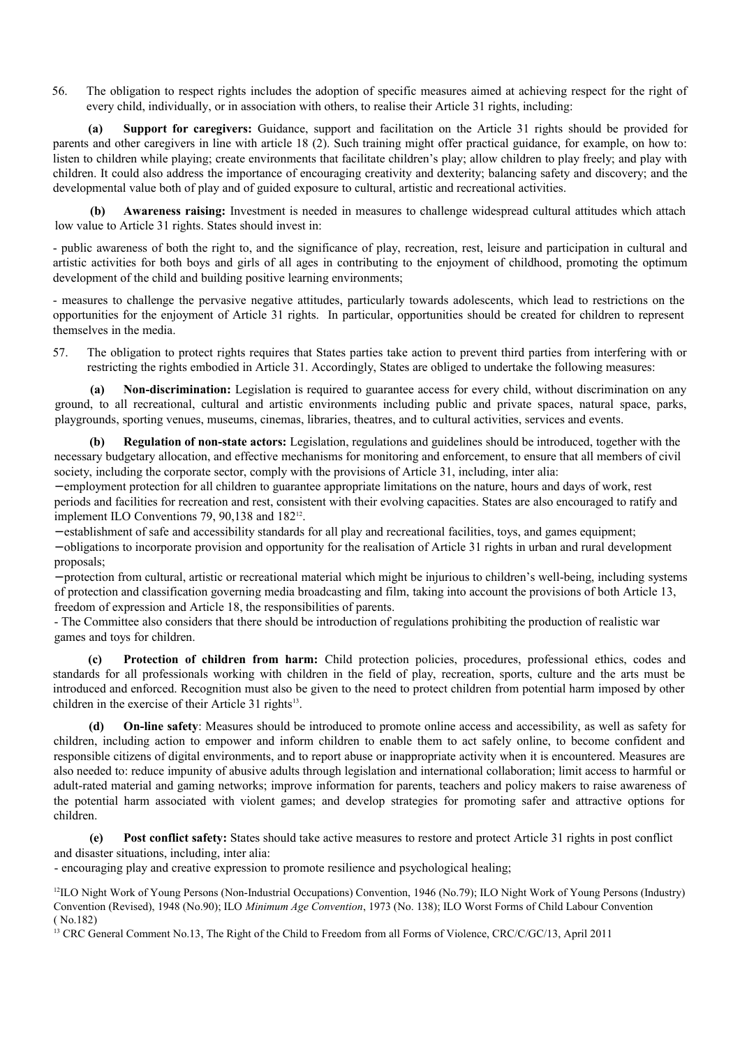56. The obligation to respect rights includes the adoption of specific measures aimed at achieving respect for the right of every child, individually, or in association with others, to realise their Article 31 rights, including:

**(a) Support for caregivers:** Guidance, support and facilitation on the Article 31 rights should be provided for parents and other caregivers in line with article 18 (2). Such training might offer practical guidance, for example, on how to: listen to children while playing; create environments that facilitate children's play; allow children to play freely; and play with children. It could also address the importance of encouraging creativity and dexterity; balancing safety and discovery; and the developmental value both of play and of guided exposure to cultural, artistic and recreational activities.

**(b) Awareness raising:** Investment is needed in measures to challenge widespread cultural attitudes which attach low value to Article 31 rights. States should invest in:

- public awareness of both the right to, and the significance of play, recreation, rest, leisure and participation in cultural and artistic activities for both boys and girls of all ages in contributing to the enjoyment of childhood, promoting the optimum development of the child and building positive learning environments;

- measures to challenge the pervasive negative attitudes, particularly towards adolescents, which lead to restrictions on the opportunities for the enjoyment of Article 31 rights. In particular, opportunities should be created for children to represent themselves in the media.

57. The obligation to protect rights requires that States parties take action to prevent third parties from interfering with or restricting the rights embodied in Article 31. Accordingly, States are obliged to undertake the following measures:

**(a) Non-discrimination:** Legislation is required to guarantee access for every child, without discrimination on any ground, to all recreational, cultural and artistic environments including public and private spaces, natural space, parks, playgrounds, sporting venues, museums, cinemas, libraries, theatres, and to cultural activities, services and events.

**(b) Regulation of non-state actors:** Legislation, regulations and guidelines should be introduced, together with the necessary budgetary allocation, and effective mechanisms for monitoring and enforcement, to ensure that all members of civil society, including the corporate sector, comply with the provisions of Article 31, including, inter alia:

− employment protection for all children to guarantee appropriate limitations on the nature, hours and days of work, rest periods and facilities for recreation and rest, consistent with their evolving capacities. States are also encouraged to ratify and implement ILO Conventions 79, 90,138 and 182<sup>[12](#page-11-0)</sup>.

− establishment of safe and accessibility standards for all play and recreational facilities, toys, and games equipment;

− obligations to incorporate provision and opportunity for the realisation of Article 31 rights in urban and rural development proposals;

− protection from cultural, artistic or recreational material which might be injurious to children's well-being, including systems of protection and classification governing media broadcasting and film, taking into account the provisions of both Article 13, freedom of expression and Article 18, the responsibilities of parents.

- The Committee also considers that there should be introduction of regulations prohibiting the production of realistic war games and toys for children.

**(c) Protection of children from harm:** Child protection policies, procedures, professional ethics, codes and standards for all professionals working with children in the field of play, recreation, sports, culture and the arts must be introduced and enforced. Recognition must also be given to the need to protect children from potential harm imposed by other children in the exercise of their Article 31 rights $13$ .

**(d) On-line safety**: Measures should be introduced to promote online access and accessibility, as well as safety for children, including action to empower and inform children to enable them to act safely online, to become confident and responsible citizens of digital environments, and to report abuse or inappropriate activity when it is encountered. Measures are also needed to: reduce impunity of abusive adults through legislation and international collaboration; limit access to harmful or adult-rated material and gaming networks; improve information for parents, teachers and policy makers to raise awareness of the potential harm associated with violent games; and develop strategies for promoting safer and attractive options for children.

**(e) Post conflict safety:** States should take active measures to restore and protect Article 31 rights in post conflict and disaster situations, including, inter alia:

- encouraging play and creative expression to promote resilience and psychological healing;

<span id="page-11-0"></span><sup>12</sup>ILO Night Work of Young Persons (Non-Industrial Occupations) Convention, 1946 (No.79); ILO Night Work of Young Persons (Industry) Convention (Revised), 1948 (No.90); ILO *[Minimum Age Convention](http://www.google.co.uk/url?sa=t&rct=j&q=&esrc=s&source=web&cd=2&cad=rja&ved=0CFQQFjAB&url=http%3A%2F%2Fwww2.ohchr.org%2Fenglish%2Flaw%2Fageconvention.htm&ei=IIQzULTDH8qu0QXu5oDwBQ&usg=AFQjCNGTWUitbeDt87_6Lxq-h6XRWHkJ-A&sig2=HAPCktDhq9g_V82jj27yng)*, 1973 (No. 138); ILO Worst Forms of Child Labour Convention ( No.182)

<span id="page-11-1"></span><sup>13</sup> CRC General Comment No.13, The Right of the Child to Freedom from all Forms of Violence, CRC/C/GC/13, April 2011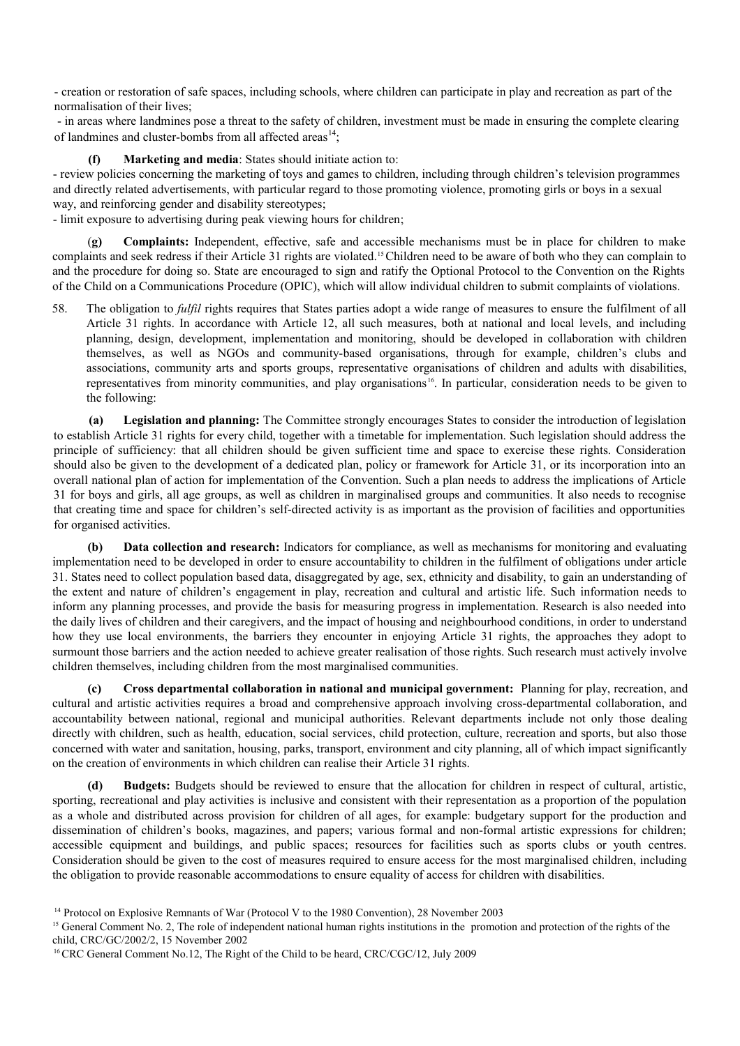- creation or restoration of safe spaces, including schools, where children can participate in play and recreation as part of the normalisation of their lives;

 - in areas where landmines pose a threat to the safety of children, investment must be made in ensuring the complete clearing of landmines and cluster-bombs from all affected areas<sup>[14](#page-12-0)</sup>:

**Marketing and media**: States should initiate action to:

- review policies concerning the marketing of toys and games to children, including through children's television programmes and directly related advertisements, with particular regard to those promoting violence, promoting girls or boys in a sexual way, and reinforcing gender and disability stereotypes;

- limit exposure to advertising during peak viewing hours for children;

(**g) Complaints:** Independent, effective, safe and accessible mechanisms must be in place for children to make complaints and seek redress if their Article 31 rights are violated.[15](#page-12-1)Children need to be aware of both who they can complain to and the procedure for doing so. State are encouraged to sign and ratify the Optional Protocol to the Convention on the Rights of the Child on a Communications Procedure (OPIC), which will allow individual children to submit complaints of violations.

58. The obligation to *fulfil* rights requires that States parties adopt a wide range of measures to ensure the fulfilment of all Article 31 rights. In accordance with Article 12, all such measures, both at national and local levels, and including planning, design, development, implementation and monitoring, should be developed in collaboration with children themselves, as well as NGOs and community-based organisations, through for example, children's clubs and associations, community arts and sports groups, representative organisations of children and adults with disabilities, representatives from minority communities, and play organisations [16](#page-12-2). In particular, consideration needs to be given to the following:

**(a) Legislation and planning:** The Committee strongly encourages States to consider the introduction of legislation to establish Article 31 rights for every child, together with a timetable for implementation. Such legislation should address the principle of sufficiency: that all children should be given sufficient time and space to exercise these rights. Consideration should also be given to the development of a dedicated plan, policy or framework for Article 31, or its incorporation into an overall national plan of action for implementation of the Convention. Such a plan needs to address the implications of Article 31 for boys and girls, all age groups, as well as children in marginalised groups and communities. It also needs to recognise that creating time and space for children's self-directed activity is as important as the provision of facilities and opportunities for organised activities.

**(b) Data collection and research:** Indicators for compliance, as well as mechanisms for monitoring and evaluating implementation need to be developed in order to ensure accountability to children in the fulfilment of obligations under article 31. States need to collect population based data, disaggregated by age, sex, ethnicity and disability, to gain an understanding of the extent and nature of children's engagement in play, recreation and cultural and artistic life. Such information needs to inform any planning processes, and provide the basis for measuring progress in implementation. Research is also needed into the daily lives of children and their caregivers, and the impact of housing and neighbourhood conditions, in order to understand how they use local environments, the barriers they encounter in enjoying Article 31 rights, the approaches they adopt to surmount those barriers and the action needed to achieve greater realisation of those rights. Such research must actively involve children themselves, including children from the most marginalised communities.

**(c) Cross departmental collaboration in national and municipal government:** Planning for play, recreation, and cultural and artistic activities requires a broad and comprehensive approach involving cross-departmental collaboration, and accountability between national, regional and municipal authorities. Relevant departments include not only those dealing directly with children, such as health, education, social services, child protection, culture, recreation and sports, but also those concerned with water and sanitation, housing, parks, transport, environment and city planning, all of which impact significantly on the creation of environments in which children can realise their Article 31 rights.

**(d) Budgets:** Budgets should be reviewed to ensure that the allocation for children in respect of cultural, artistic, sporting, recreational and play activities is inclusive and consistent with their representation as a proportion of the population as a whole and distributed across provision for children of all ages, for example: budgetary support for the production and dissemination of children's books, magazines, and papers; various formal and non-formal artistic expressions for children; accessible equipment and buildings, and public spaces; resources for facilities such as sports clubs or youth centres. Consideration should be given to the cost of measures required to ensure access for the most marginalised children, including the obligation to provide reasonable accommodations to ensure equality of access for children with disabilities.

<span id="page-12-0"></span><sup>&</sup>lt;sup>14</sup> Protocol on Explosive Remnants of War (Protocol V to the 1980 Convention), 28 November 2003

<span id="page-12-1"></span><sup>&</sup>lt;sup>15</sup> General Comment No. 2, The role of independent national human rights institutions in the promotion and protection of the rights of the child, CRC/GC/2002/2, 15 November 2002

<span id="page-12-2"></span><sup>&</sup>lt;sup>16</sup> CRC General Comment No.12, The Right of the Child to be heard, CRC/CGC/12, July 2009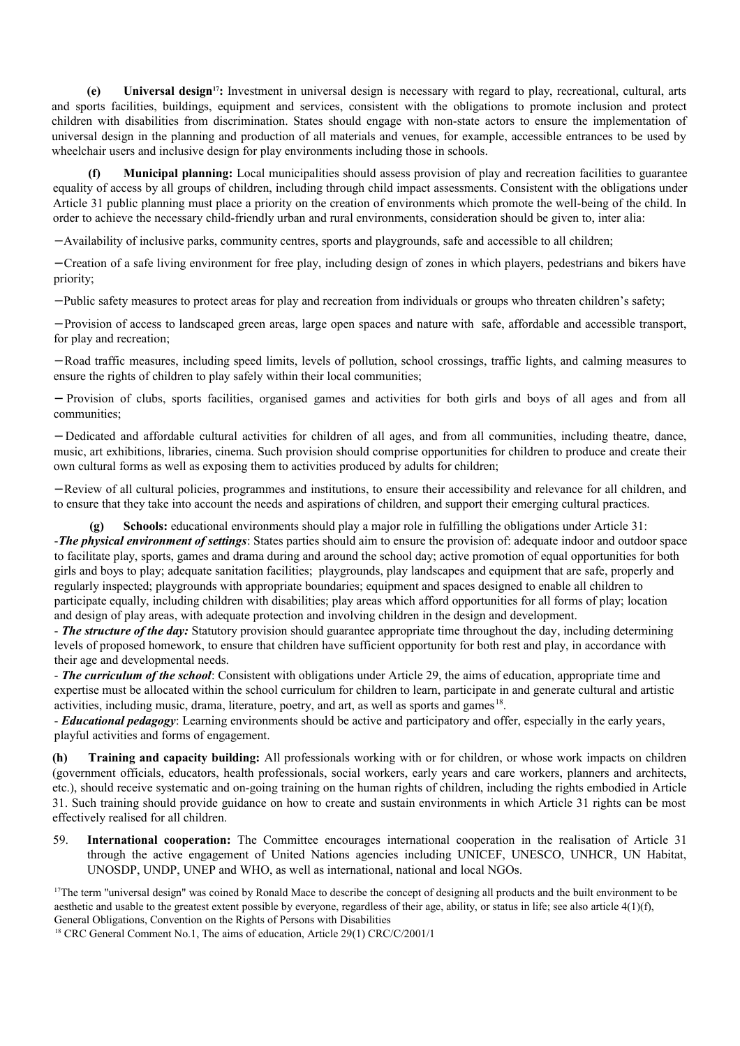**(e) Universal design[17](#page-13-0):** Investment in universal design is necessary with regard to play, recreational, cultural, arts and sports facilities, buildings, equipment and services, consistent with the obligations to promote inclusion and protect children with disabilities from discrimination. States should engage with non-state actors to ensure the implementation of universal design in the planning and production of all materials and venues, for example, accessible entrances to be used by wheelchair users and inclusive design for play environments including those in schools.

**(f) Municipal planning:** Local municipalities should assess provision of play and recreation facilities to guarantee equality of access by all groups of children, including through child impact assessments. Consistent with the obligations under Article 31 public planning must place a priority on the creation of environments which promote the well-being of the child. In order to achieve the necessary child-friendly urban and rural environments, consideration should be given to, inter alia:

− Availability of inclusive parks, community centres, sports and playgrounds, safe and accessible to all children;

− Creation of a safe living environment for free play, including design of zones in which players, pedestrians and bikers have priority;

− Public safety measures to protect areas for play and recreation from individuals or groups who threaten children's safety;

− Provision of access to landscaped green areas, large open spaces and nature with safe, affordable and accessible transport, for play and recreation;

− Road traffic measures, including speed limits, levels of pollution, school crossings, traffic lights, and calming measures to ensure the rights of children to play safely within their local communities;

− Provision of clubs, sports facilities, organised games and activities for both girls and boys of all ages and from all communities;

− Dedicated and affordable cultural activities for children of all ages, and from all communities, including theatre, dance, music, art exhibitions, libraries, cinema. Such provision should comprise opportunities for children to produce and create their own cultural forms as well as exposing them to activities produced by adults for children;

− Review of all cultural policies, programmes and institutions, to ensure their accessibility and relevance for all children, and to ensure that they take into account the needs and aspirations of children, and support their emerging cultural practices.

**Schools:** educational environments should play a major role in fulfilling the obligations under Article 31: -*The physical environment of settings*: States parties should aim to ensure the provision of: adequate indoor and outdoor space to facilitate play, sports, games and drama during and around the school day; active promotion of equal opportunities for both girls and boys to play; adequate sanitation facilities; playgrounds, play landscapes and equipment that are safe, properly and regularly inspected; playgrounds with appropriate boundaries; equipment and spaces designed to enable all children to participate equally, including children with disabilities; play areas which afford opportunities for all forms of play; location and design of play areas, with adequate protection and involving children in the design and development.

- *The structure of the day:* Statutory provision should guarantee appropriate time throughout the day, including determining levels of proposed homework, to ensure that children have sufficient opportunity for both rest and play, in accordance with their age and developmental needs.

- *The curriculum of the school*: Consistent with obligations under Article 29, the aims of education, appropriate time and expertise must be allocated within the school curriculum for children to learn, participate in and generate cultural and artistic activities, including music, drama, literature, poetry, and art, as well as sports and games<sup>[18](#page-13-1)</sup>.

- *Educational pedagogy*: Learning environments should be active and participatory and offer, especially in the early years, playful activities and forms of engagement.

**(h) Training and capacity building:** All professionals working with or for children, or whose work impacts on children (government officials, educators, health professionals, social workers, early years and care workers, planners and architects, etc.), should receive systematic and on-going training on the human rights of children, including the rights embodied in Article 31. Such training should provide guidance on how to create and sustain environments in which Article 31 rights can be most effectively realised for all children.

59. **International cooperation:** The Committee encourages international cooperation in the realisation of Article 31 through the active engagement of United Nations agencies including UNICEF, UNESCO, UNHCR, UN Habitat, UNOSDP, UNDP, UNEP and WHO, as well as international, national and local NGOs.

<span id="page-13-0"></span><sup>17</sup>The term "universal design" was coined by Ronald Mace to describe the concept of designing all products and the built environment to be aesthetic and usable to the greatest extent possible by everyone, regardless of their age, ability, or status in life; see also article 4(1)(f), General Obligations, Convention on the Rights of Persons with Disabilities

<span id="page-13-1"></span><sup>18</sup> CRC General Comment No.1, The aims of education, Article 29(1) CRC/C/2001/1